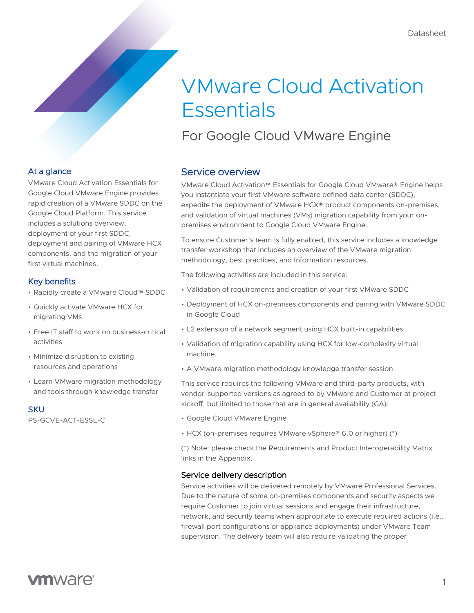# VMware Cloud Activation **Essentials**

For Google Cloud VMware Engine

### At a glance

VMware Cloud Activation Essentials for Google Cloud VMware Engine provides rapid creation of a VMware SDDC on the Google Cloud Platform. This service includes a solutions overview, deployment of your first SDDC, deployment and pairing of VMware HCX components, and the migration of your first virtual machines.

### Key benefits

- Rapidly create a VMware Cloud™ SDDC
- Quickly activate VMware HCX for migrating VMs
- Free IT staff to work on business-critical activities
- Minimize disruption to existing resources and operations
- Learn VMware migration methodology and tools through knowledge transfer

### **SKU**

PS-GCVE-ACT-ESSL-C

### Service overview

VMware Cloud Activation™ Essentials for Google Cloud VMware® Engine helps you instantiate your first VMware software defined data center (SDDC), expedite the deployment of VMware HCX® product components on-premises, and validation of virtual machines (VMs) migration capability from your onpremises environment to Google Cloud VMware Engine.

To ensure Customer's team Is fully enabled, this service includes a knowledge transfer workshop that includes an overview of the VMware migration methodology, best practices, and Information resources.

The following activities are included in this service:

- Validation of requirements and creation of your first VMware SDDC
- Deployment of HCX on-premises components and pairing with VMware SDDC in Google Cloud
- L2 extension of a network segment using HCX built-in capabilities
- Validation of migration capability using HCX for low-complexity virtual machine.
- A VMware migration methodology knowledge transfer session

This service requires the following VMware and third-party products, with vendor-supported versions as agreed to by VMware and Customer at project kickoff, but limited to those that are in general availability (GA):

- Google Cloud VMware Engine
- HCX (on-premises requires VMware vSphere® 6.0 or higher) (\*)

(\*) Note: please check the Requirements and Product Interoperability Matrix links in the Appendix.

### Service delivery description

Service activities will be delivered remotely by VMware Professional Services. Due to the nature of some on-premises components and security aspects we require Customer to join virtual sessions and engage their infrastructure, network, and security teams when appropriate to execute required actions (i.e., firewall port configurations or appliance deployments) under VMware Team supervision. The delivery team will also require validating the proper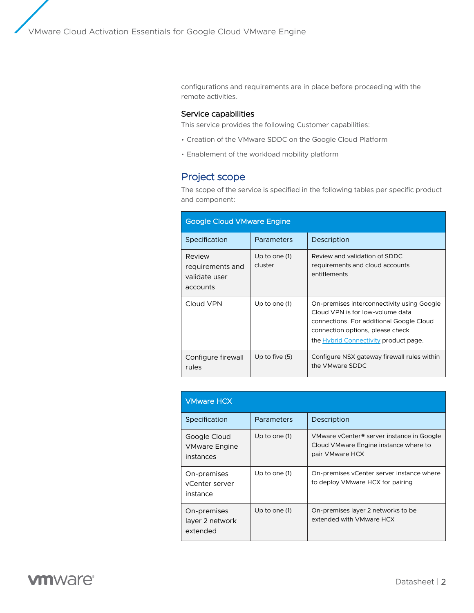configurations and requirements are in place before proceeding with the remote activities.

### Service capabilities

This service provides the following Customer capabilities:

- Creation of the VMware SDDC on the Google Cloud Platform
- Enablement of the workload mobility platform

### Project scope

The scope of the service is specified in the following tables per specific product and component:

| <b>Google Cloud VMware Engine</b>                       |                            |                                                                                                                                                                                                         |  |
|---------------------------------------------------------|----------------------------|---------------------------------------------------------------------------------------------------------------------------------------------------------------------------------------------------------|--|
| Specification                                           | Parameters                 | Description                                                                                                                                                                                             |  |
| Review<br>requirements and<br>validate user<br>accounts | Up to one $(1)$<br>cluster | Review and validation of SDDC<br>requirements and cloud accounts<br>entitlements                                                                                                                        |  |
| Cloud VPN                                               | Up to one (1)              | On-premises interconnectivity using Google<br>Cloud VPN is for low-volume data<br>connections. For additional Google Cloud<br>connection options, please check<br>the Hybrid Connectivity product page. |  |
| Configure firewall<br>rules                             | Up to five $(5)$           | Configure NSX gateway firewall rules within<br>the VMware SDDC                                                                                                                                          |  |

| <b>VMware HCX</b>                                 |               |                                                                                                       |
|---------------------------------------------------|---------------|-------------------------------------------------------------------------------------------------------|
| Specification                                     | Parameters    | Description                                                                                           |
| Google Cloud<br><b>VMware Engine</b><br>instances | Up to one (1) | VMware vCenter® server instance in Google<br>Cloud VMware Engine instance where to<br>pair VMware HCX |
| On-premises<br>vCenter server<br>instance         | Up to one (1) | On-premises vCenter server instance where<br>to deploy VMware HCX for pairing                         |
| On-premises<br>layer 2 network<br>extended        | Up to one (1) | On-premises layer 2 networks to be<br>extended with VMware HCX                                        |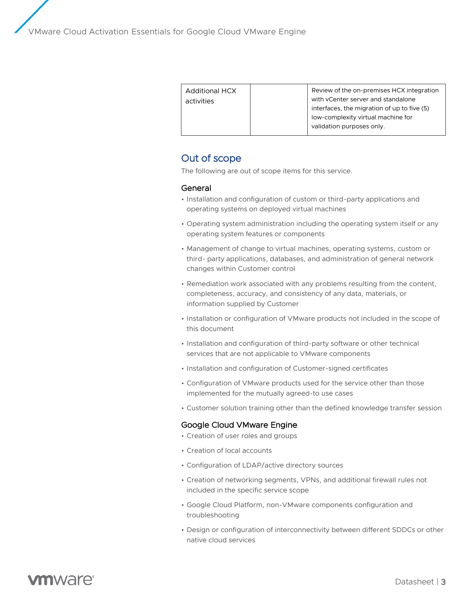| <b>Additional HCX</b><br>activities | Review of the on-premises HCX integration<br>with yCenter server and standalone<br>interfaces, the migration of up to five (5) |
|-------------------------------------|--------------------------------------------------------------------------------------------------------------------------------|
|                                     | low-complexity virtual machine for<br>validation purposes only.                                                                |

## Out of scope

The following are out of scope items for this service.

### General

- Installation and configuration of custom or third-party applications and operating systems on deployed virtual machines
- Operating system administration including the operating system itself or any operating system features or components
- Management of change to virtual machines, operating systems, custom or third- party applications, databases, and administration of general network changes within Customer control
- Remediation work associated with any problems resulting from the content, completeness, accuracy, and consistency of any data, materials, or information supplied by Customer
- Installation or configuration of VMware products not included in the scope of this document
- Installation and configuration of third-party software or other technical services that are not applicable to VMware components
- Installation and configuration of Customer-signed certificates
- Configuration of VMware products used for the service other than those implemented for the mutually agreed-to use cases
- Customer solution training other than the defined knowledge transfer session

### Google Cloud VMware Engine

- Creation of user roles and groups
- Creation of local accounts
- Configuration of LDAP/active directory sources
- Creation of networking segments, VPNs, and additional firewall rules not included in the specific service scope
- Google Cloud Platform, non-VMware components configuration and troubleshooting
- Design or configuration of interconnectivity between different SDDCs or other native cloud services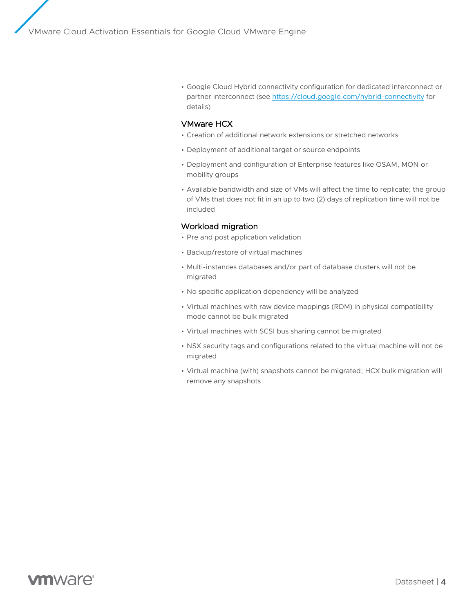• Google Cloud Hybrid connectivity configuration for dedicated interconnect or partner interconnect (se[e https://cloud.google.com/hybrid-connectivity](https://cloud.google.com/hybrid-connectivity) for details)

### VMware HCX

- Creation of additional network extensions or stretched networks
- Deployment of additional target or source endpoints
- Deployment and configuration of Enterprise features like OSAM, MON or mobility groups
- Available bandwidth and size of VMs will affect the time to replicate; the group of VMs that does not fit in an up to two (2) days of replication time will not be included

### Workload migration

- Pre and post application validation
- Backup/restore of virtual machines
- Multi-instances databases and/or part of database clusters will not be migrated
- No specific application dependency will be analyzed
- Virtual machines with raw device mappings (RDM) in physical compatibility mode cannot be bulk migrated
- Virtual machines with SCSI bus sharing cannot be migrated
- NSX security tags and configurations related to the virtual machine will not be migrated
- Virtual machine (with) snapshots cannot be migrated; HCX bulk migration will remove any snapshots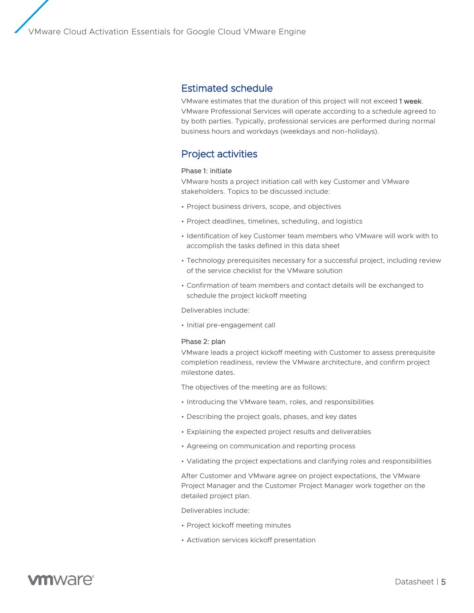### Estimated schedule

VMware estimates that the duration of this project will not exceed 1 week. VMware Professional Services will operate according to a schedule agreed to by both parties. Typically, professional services are performed during normal business hours and workdays (weekdays and non-holidays).

# Project activities

#### Phase 1: initiate

VMware hosts a project initiation call with key Customer and VMware stakeholders. Topics to be discussed include:

- Project business drivers, scope, and objectives
- Project deadlines, timelines, scheduling, and logistics
- Identification of key Customer team members who VMware will work with to accomplish the tasks defined in this data sheet
- Technology prerequisites necessary for a successful project, including review of the service checklist for the VMware solution
- Confirmation of team members and contact details will be exchanged to schedule the project kickoff meeting

Deliverables include:

• Initial pre-engagement call

#### Phase 2: plan

VMware leads a project kickoff meeting with Customer to assess prerequisite completion readiness, review the VMware architecture, and confirm project milestone dates.

The objectives of the meeting are as follows:

- Introducing the VMware team, roles, and responsibilities
- Describing the project goals, phases, and key dates
- Explaining the expected project results and deliverables
- Agreeing on communication and reporting process
- Validating the project expectations and clarifying roles and responsibilities

After Customer and VMware agree on project expectations, the VMware Project Manager and the Customer Project Manager work together on the detailed project plan.

Deliverables include:

- Project kickoff meeting minutes
- Activation services kickoff presentation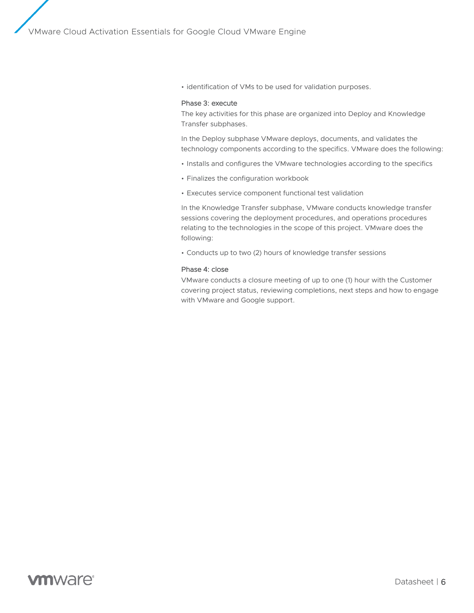• identification of VMs to be used for validation purposes.

### Phase 3: execute

The key activities for this phase are organized into Deploy and Knowledge Transfer subphases.

In the Deploy subphase VMware deploys, documents, and validates the technology components according to the specifics. VMware does the following:

- Installs and configures the VMware technologies according to the specifics
- Finalizes the configuration workbook
- Executes service component functional test validation

In the Knowledge Transfer subphase, VMware conducts knowledge transfer sessions covering the deployment procedures, and operations procedures relating to the technologies in the scope of this project. VMware does the following:

• Conducts up to two (2) hours of knowledge transfer sessions

#### Phase 4: close

VMware conducts a closure meeting of up to one (1) hour with the Customer covering project status, reviewing completions, next steps and how to engage with VMware and Google support.